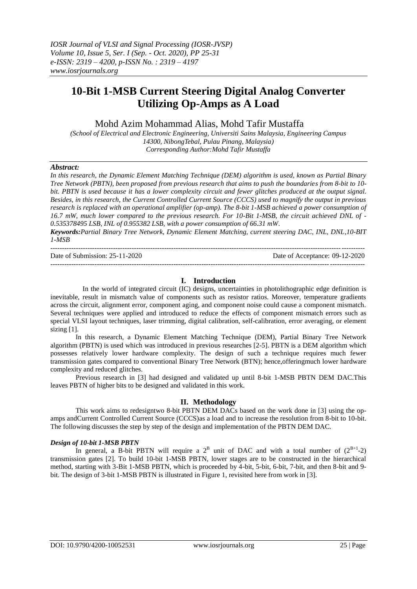# **10-Bit 1-MSB Current Steering Digital Analog Converter Utilizing Op-Amps as A Load**

Mohd Azim Mohammad Alias, Mohd Tafir Mustaffa

*(School of Electrical and Electronic Engineering, Universiti Sains Malaysia, Engineering Campus 14300, NibongTebal, Pulau Pinang, Malaysia) Corresponding Author:Mohd Tafir Mustaffa*

## *Abstract:*

*In this research, the Dynamic Element Matching Technique (DEM) algorithm is used, known as Partial Binary Tree Network (PBTN), been proposed from previous research that aims to push the boundaries from 8-bit to 10 bit. PBTN is used because it has a lower complexity circuit and fewer glitches produced at the output signal. Besides, in this research, the Current Controlled Current Source (CCCS) used to magnify the output in previous research is replaced with an operational amplifier (op-amp). The 8-bit 1-MSB achieved a power consumption of 16.7 mW, much lower compared to the previous research. For 10-Bit 1-MSB, the circuit achieved DNL of - 0.535378495 LSB, INL of 0.955382 LSB, with a power consumption of 66.31 mW. Keywords:Partial Binary Tree Network, Dynamic Element Matching, current steering DAC, INL, DNL,10-BIT* 

*1-MSB*

| Date of Submission: $25-11-2020$ | Date of Acceptance: 09-12-2020 |
|----------------------------------|--------------------------------|
|                                  |                                |

# **I. Introduction**

 In the world of integrated circuit (IC) designs, uncertainties in photolithographic edge definition is inevitable, result in mismatch value of components such as resistor ratios. Moreover, temperature gradients across the circuit, alignment error, component aging, and component noise could cause a component mismatch. Several techniques were applied and introduced to reduce the effects of component mismatch errors such as special VLSI layout techniques, laser trimming, digital calibration, self-calibration, error averaging, or element sizing [1].

In this research, a Dynamic Element Matching Technique (DEM), Partial Binary Tree Network algorithm (PBTN) is used which was introduced in previous researches [2-5]. PBTN is a DEM algorithm which possesses relatively lower hardware complexity. The design of such a technique requires much fewer transmission gates compared to conventional Binary Tree Network (BTN); hence,offeringmuch lower hardware complexity and reduced glitches.

Previous research in [3] had designed and validated up until 8-bit 1-MSB PBTN DEM DAC.This leaves PBTN of higher bits to be designed and validated in this work.

# **II. Methodology**

This work aims to redesigntwo 8-bit PBTN DEM DACs based on the work done in [3] using the opamps andCurrent Controlled Current Source (CCCS)as a load and to increase the resolution from 8-bit to 10-bit. The following discusses the step by step of the design and implementation of the PBTN DEM DAC.

## *Design of 10-bit 1-MSB PBTN*

In general, a B-bit PBTN will require a  $2^B$  unit of DAC and with a total number of  $(2^{B+1}-2)$ transmission gates [2]. To build 10-bit 1-MSB PBTN, lower stages are to be constructed in the hierarchical method, starting with 3-Bit 1-MSB PBTN, which is proceeded by 4-bit, 5-bit, 6-bit, 7-bit, and then 8-bit and 9 bit. The design of 3-bit 1-MSB PBTN is illustrated in Figure 1, revisited here from work in [3].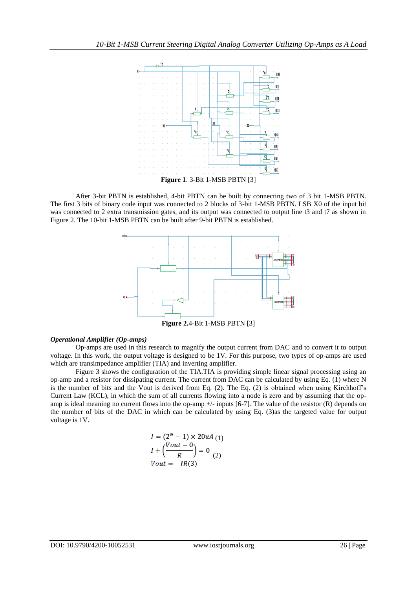

After 3-bit PBTN is established, 4-bit PBTN can be built by connecting two of 3 bit 1-MSB PBTN. The first 3 bits of binary code input was connected to 2 blocks of 3-bit 1-MSB PBTN. LSB X0 of the input bit was connected to 2 extra transmission gates, and its output was connected to output line t3 and t7 as shown in Figure 2. The 10-bit 1-MSB PBTN can be built after 9-bit PBTN is established.



**Figure 2.**4-Bit 1-MSB PBTN [3]

## *Operational Amplifier (Op-amps)*

Op-amps are used in this research to magnify the output current from DAC and to convert it to output voltage. In this work, the output voltage is designed to be 1V. For this purpose, two types of op-amps are used which are transimpedance amplifier (TIA) and inverting amplifier.

Figure 3 shows the configuration of the TIA.TIA is providing simple linear signal processing using an op-amp and a resistor for dissipating current. The current from DAC can be calculated by using Eq. (1) where N is the number of bits and the Vout is derived from Eq. (2). The Eq. (2) is obtained when using Kirchhoff's Current Law (KCL), in which the sum of all currents flowing into a node is zero and by assuming that the opamp is ideal meaning no current flows into the op-amp  $+/-$  inputs [6-7]. The value of the resistor (R) depends on the number of bits of the DAC in which can be calculated by using Eq. (3)as the targeted value for output voltage is 1V.

$$
I = (2N - 1) \times 20uA
$$
  
\n
$$
I + \left(\frac{Vout - 0}{R}\right) = 0
$$
  
\n
$$
Vout = -IR(3)
$$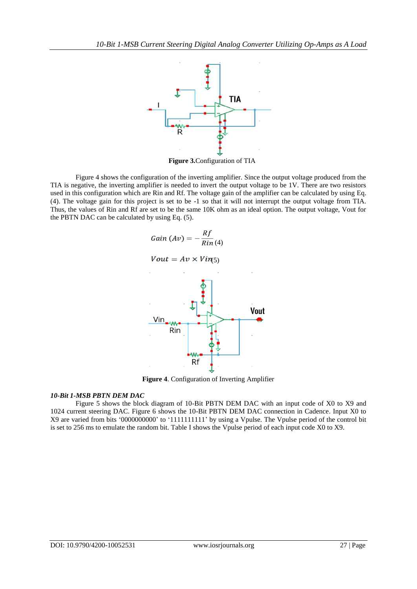

**Figure 3.**Configuration of TIA

Figure 4 shows the configuration of the inverting amplifier. Since the output voltage produced from the TIA is negative, the inverting amplifier is needed to invert the output voltage to be 1V. There are two resistors used in this configuration which are Rin and Rf. The voltage gain of the amplifier can be calculated by using Eq. (4). The voltage gain for this project is set to be -1 so that it will not interrupt the output voltage from TIA. Thus, the values of Rin and Rf are set to be the same 10K ohm as an ideal option. The output voltage, Vout for the PBTN DAC can be calculated by using Eq. (5).



**Figure 4**. Configuration of Inverting Amplifier

# *10-Bit 1-MSB PBTN DEM DAC*

Figure 5 shows the block diagram of 10-Bit PBTN DEM DAC with an input code of X0 to X9 and 1024 current steering DAC. Figure 6 shows the 10-Bit PBTN DEM DAC connection in Cadence. Input X0 to X9 are varied from bits '0000000000' to '1111111111' by using a Vpulse. The Vpulse period of the control bit is set to 256 ms to emulate the random bit. Table I shows the Vpulse period of each input code X0 to X9.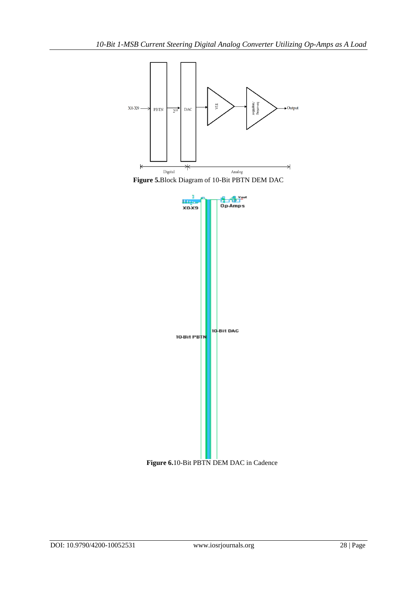

**Figure 5.**Block Diagram of 10-Bit PBTN DEM DAC



**Figure 6.**10-Bit PBTN DEM DAC in Cadence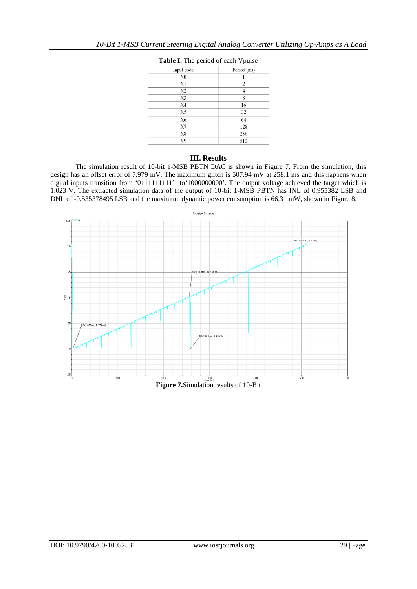| Input code     | Period (ms) |
|----------------|-------------|
| X0             |             |
| X1             | 2           |
| X2             |             |
| X3             | 8           |
| X <sub>4</sub> | 16          |
| X5             | 32          |
| X6             | 64          |
| X7             | 128         |
| X8             | 256         |
| X9             | 512         |

# **Table I.** The period of each Vpulse

## **III. Results**

The simulation result of 10-bit 1-MSB PBTN DAC is shown in Figure 7. From the simulation, this design has an offset error of 7.979 mV. The maximum glitch is 507.94 mV at 258.1 ms and this happens when digital inputs transition from '01111111111' to'1000000000'. The output voltage achieved the target which is 1.023 V. The extracted simulation data of the output of 10-bit 1-MSB PBTN has INL of 0.955382 LSB and DNL of -0.535378495 LSB and the maximum dynamic power consumption is 66.31 mW, shown in Figure 8.

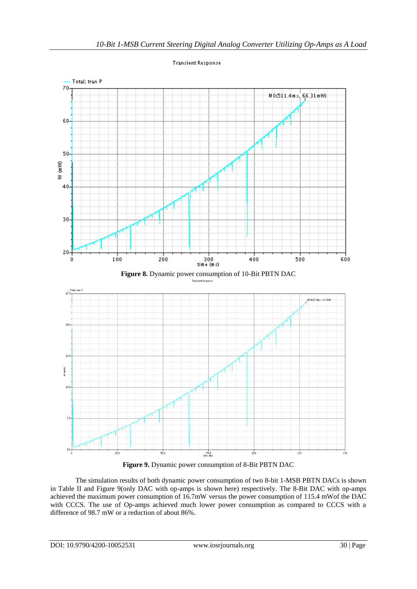

**Transient Response** 

**Figure 9.** Dynamic power consumption of 8-Bit PBTN DAC

The simulation results of both dynamic power consumption of two 8-bit 1-MSB PBTN DACs is shown in Table II and Figure 9(only DAC with op-amps is shown here) respectively. The 8-Bit DAC with op-amps achieved the maximum power consumption of 16.7mW versus the power consumption of 115.4 mWof the DAC with CCCS. The use of Op-amps achieved much lower power consumption as compared to CCCS with a difference of 98.7 mW or a reduction of about 86%.